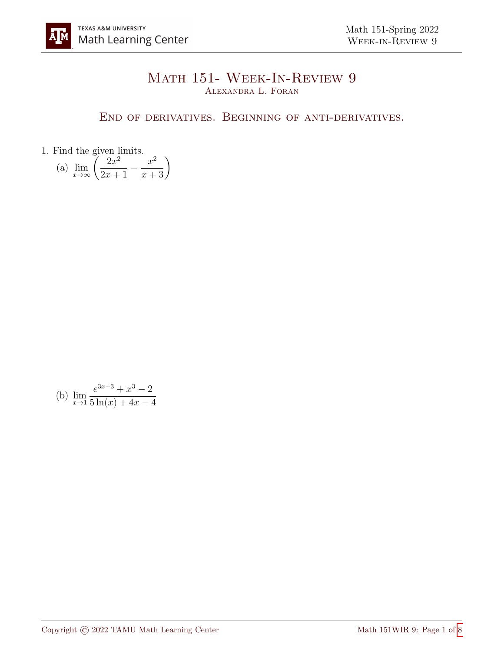## Math 151- Week-In-Review 9 Alexandra L. Foran

## End of derivatives. Beginning of anti-derivatives.

1. Find the given limits.

(a) 
$$
\lim_{x \to \infty} \left( \frac{2x^2}{2x+1} - \frac{x^2}{x+3} \right)
$$

(b) 
$$
\lim_{x \to 1} \frac{e^{3x-3} + x^3 - 2}{5 \ln(x) + 4x - 4}
$$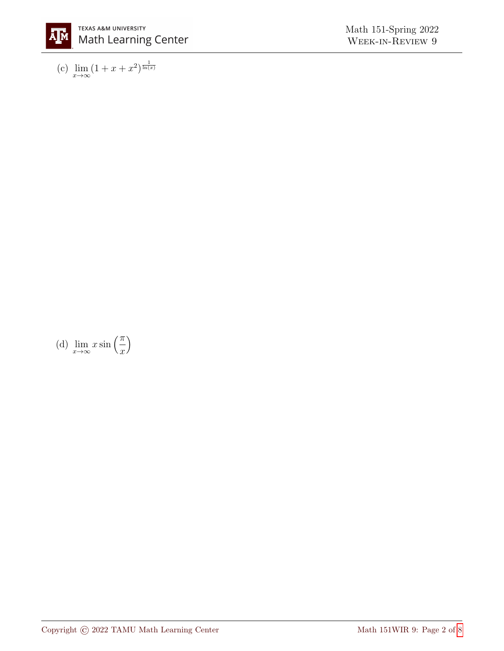

(c)  $\lim_{x \to \infty} (1 + x + x^2)^{\frac{1}{\ln(x)}}$ 

(d)  $\lim_{x \to \infty} x \sin\left(\frac{\pi}{x}\right)$ 

 $\boldsymbol{x}$  $\setminus$ 

Copyright  $\copyright$  2022 TAMU Math Learning Center  $$\rm{Math}$  151WIR 9: Page 2 of [8](#page-7-0)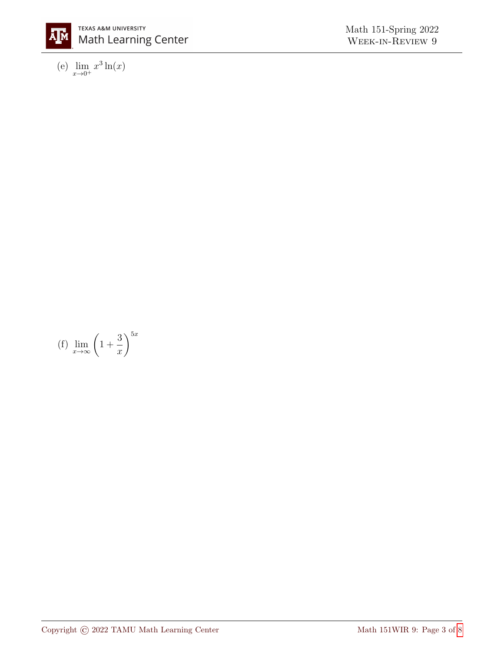

(e)  $\lim_{x \to 0^+} x^3 \ln(x)$ 

(f)  $\lim_{x\to\infty} \left(1 + \right)$ 

3  $\overline{x}$   $\bigwedge^{5x}$ 

$$
\underbrace{\hspace{2.5cm}}_{\hspace{2.5cm}}
$$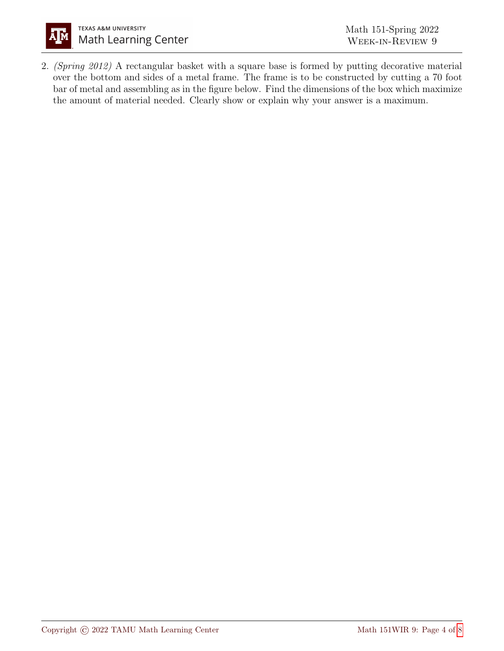

2. (Spring 2012) A rectangular basket with a square base is formed by putting decorative material over the bottom and sides of a metal frame. The frame is to be constructed by cutting a 70 foot bar of metal and assembling as in the figure below. Find the dimensions of the box which maximize the amount of material needed. Clearly show or explain why your answer is a maximum.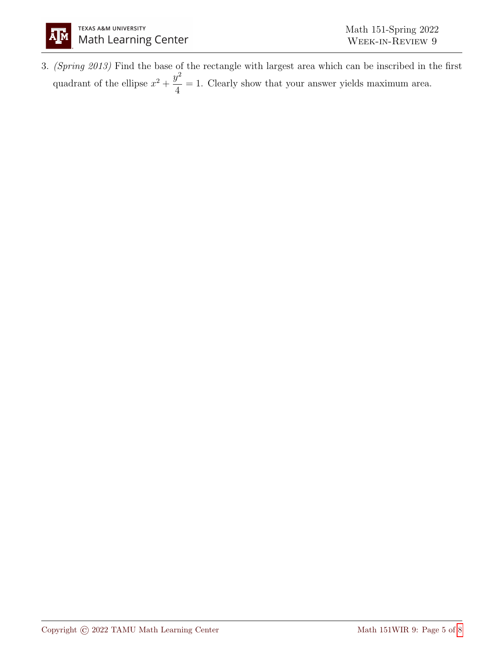3. (Spring 2013) Find the base of the rectangle with largest area which can be inscribed in the first quadrant of the ellipse  $x^2 + \frac{y^2}{4}$ 4 = 1. Clearly show that your answer yields maximum area.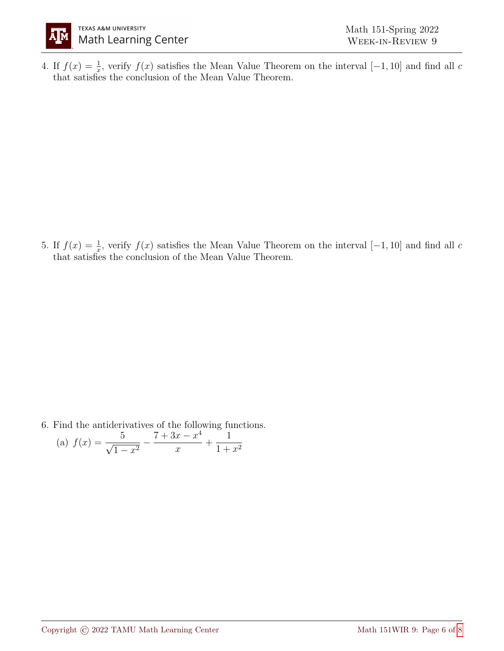

4. If  $f(x) = \frac{1}{x}$ , verify  $f(x)$  satisfies the Mean Value Theorem on the interval [-1, 10] and find all c that satisfies the conclusion of the Mean Value Theorem.

5. If  $f(x) = \frac{1}{x}$ , verify  $f(x)$  satisfies the Mean Value Theorem on the interval [-1, 10] and find all c that satisfies the conclusion of the Mean Value Theorem.

6. Find the antiderivatives of the following functions.

(a) 
$$
f(x) = \frac{5}{\sqrt{1-x^2}} - \frac{7+3x-x^4}{x} + \frac{1}{1+x^2}
$$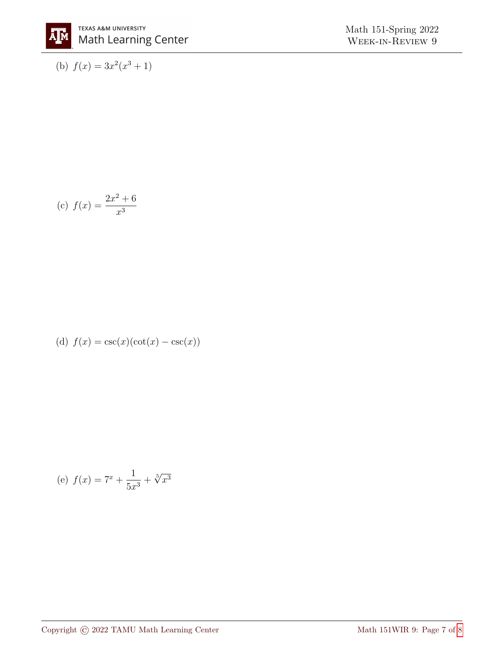Math 151-Spring 2022 WEEK-IN-REVIEW 9

(b)  $f(x) = 3x^2(x^3 + 1)$ 

(c) 
$$
f(x) = \frac{2x^2 + 6}{x^3}
$$

(d) 
$$
f(x) = \csc(x)(\cot(x) - \csc(x))
$$

(e) 
$$
f(x) = 7^x + \frac{1}{5x^3} + \sqrt[5]{x^3}
$$